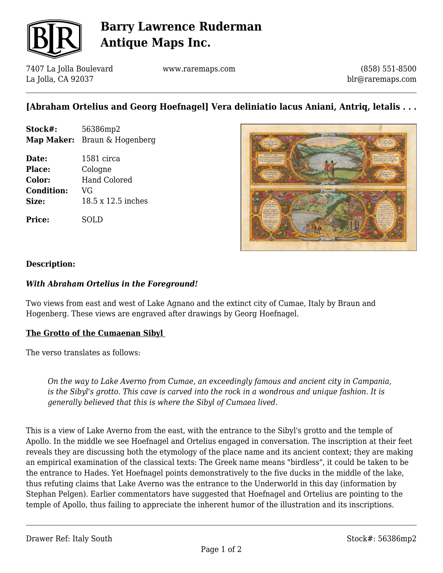

# **Barry Lawrence Ruderman Antique Maps Inc.**

7407 La Jolla Boulevard La Jolla, CA 92037

www.raremaps.com

(858) 551-8500 blr@raremaps.com

## **[Abraham Ortelius and Georg Hoefnagel] Vera deliniatio lacus Aniani, Antriq, letalis . . .**

- **Stock#:** 56386mp2 **Map Maker:** Braun & Hogenberg
- **Date:** 1581 circa **Place:** Cologne **Color:** Hand Colored **Condition:** VG **Size:** 18.5 x 12.5 inches

**Price:** SOLD



#### **Description:**

#### *With Abraham Ortelius in the Foreground!*

Two views from east and west of Lake Agnano and the extinct city of Cumae, Italy by Braun and Hogenberg. These views are engraved after drawings by Georg Hoefnagel.

#### **The Grotto of the Cumaenan Sibyl**

The verso translates as follows:

*On the way to Lake Averno from Cumae, an exceedingly famous and ancient city in Campania, is the Sibyl's grotto. This cave is carved into the rock in a wondrous and unique fashion. It is generally believed that this is where the Sibyl of Cumaea lived.*

This is a view of Lake Averno from the east, with the entrance to the Sibyl's grotto and the temple of Apollo. In the middle we see Hoefnagel and Ortelius engaged in conversation. The inscription at their feet reveals they are discussing both the etymology of the place name and its ancient context; they are making an empirical examination of the classical texts: The Greek name means "birdless", it could be taken to be the entrance to Hades. Yet Hoefnagel points demonstratively to the five ducks in the middle of the lake, thus refuting claims that Lake Averno was the entrance to the Underworld in this day (information by Stephan Pelgen). Earlier commentators have suggested that Hoefnagel and Ortelius are pointing to the temple of Apollo, thus failing to appreciate the inherent humor of the illustration and its inscriptions.